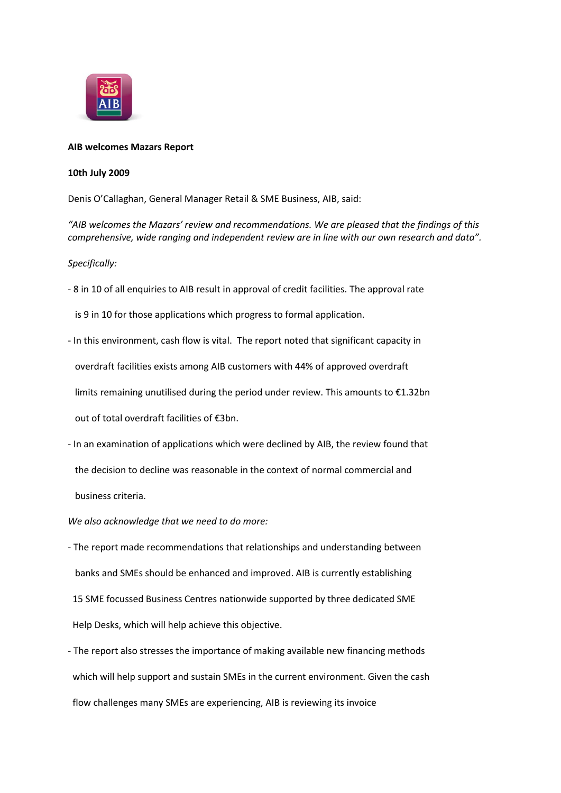

## **AIB welcomes Mazars Report**

## **10th July 2009**

Denis O'Callaghan, General Manager Retail & SME Business, AIB, said:

*"AIB welcomes the Mazars' review and recommendations. We are pleased that the findings of this comprehensive, wide ranging and independent review are in line with our own research and data".*

*Specifically:*

- 8 in 10 of all enquiries to AIB result in approval of credit facilities. The approval rate

is 9 in 10 for those applications which progress to formal application.

- In this environment, cash flow is vital. The report noted that significant capacity in overdraft facilities exists among AIB customers with 44% of approved overdraft limits remaining unutilised during the period under review. This amounts to €1.32bn out of total overdraft facilities of €3bn.
- In an examination of applications which were declined by AIB, the review found that the decision to decline was reasonable in the context of normal commercial and business criteria.

*We also acknowledge that we need to do more:*

- The report made recommendations that relationships and understanding between banks and SMEs should be enhanced and improved. AIB is currently establishing 15 SME focussed Business Centres nationwide supported by three dedicated SME Help Desks, which will help achieve this objective.
- The report also stresses the importance of making available new financing methods which will help support and sustain SMEs in the current environment. Given the cash flow challenges many SMEs are experiencing, AIB is reviewing its invoice